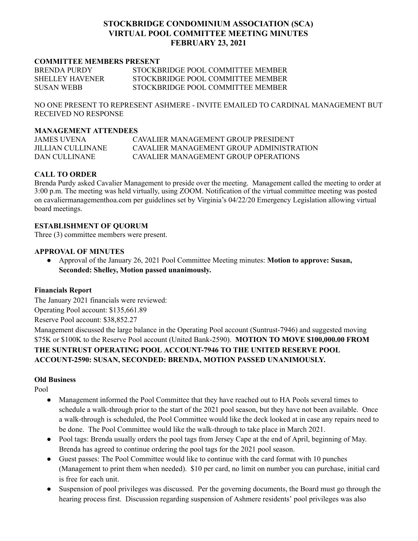# **STOCKBRIDGE CONDOMINIUM ASSOCIATION (SCA) VIRTUAL POOL COMMITTEE MEETING MINUTES FEBRUARY 23, 2021**

### **COMMITTEE MEMBERS PRESENT**

| <b>BRENDA PURDY</b>    | STOCKBRIDGE POOL COMMITTEE MEMBER |
|------------------------|-----------------------------------|
| <b>SHELLEY HAVENER</b> | STOCKBRIDGE POOL COMMITTEE MEMBER |
| <b>SUSAN WEBB</b>      | STOCKBRIDGE POOL COMMITTEE MEMBER |

NO ONE PRESENT TO REPRESENT ASHMERE - INVITE EMAILED TO CARDINAL MANAGEMENT BUT RECEIVED NO RESPONSE

#### **MANAGEMENT ATTENDEES**

| JAMES UVENA       | CAVALIER MANAGEMENT GROUP PRESIDENT      |
|-------------------|------------------------------------------|
| JILLIAN CULLINANE | CAVALIER MANAGEMENT GROUP ADMINISTRATION |
| DAN CULLINANE     | CAVALIER MANAGEMENT GROUP OPER ATIONS    |

# **CALL TO ORDER**

Brenda Purdy asked Cavalier Management to preside over the meeting. Management called the meeting to order at 3:00 p.m. The meeting was held virtually, using ZOOM. Notification of the virtual committee meeting was posted on cavaliermanagementhoa.com per guidelines set by Virginia's 04/22/20 Emergency Legislation allowing virtual board meetings.

### **ESTABLISHMENT OF QUORUM**

Three (3) committee members were present.

### **APPROVAL OF MINUTES**

● Approval of the January 26, 2021 Pool Committee Meeting minutes: **Motion to approve: Susan, Seconded: Shelley, Motion passed unanimously.**

### **Financials Report**

The January 2021 financials were reviewed: Operating Pool account: \$135,661.89 Reserve Pool account: \$38,852.27

Management discussed the large balance in the Operating Pool account (Suntrust-7946) and suggested moving \$75K or \$100K to the Reserve Pool account (United Bank-2590). **MOTION TO MOVE \$100,000.00 FROM THE SUNTRUST OPERATING POOL ACCOUNT-7946 TO THE UNITED RESERVE POOL ACCOUNT-2590: SUSAN, SECONDED: BRENDA, MOTION PASSED UNANIMOUSLY.**

## **Old Business**

Pool

- Management informed the Pool Committee that they have reached out to HA Pools several times to schedule a walk-through prior to the start of the 2021 pool season, but they have not been available. Once a walk-through is scheduled, the Pool Committee would like the deck looked at in case any repairs need to be done. The Pool Committee would like the walk-through to take place in March 2021.
- Pool tags: Brenda usually orders the pool tags from Jersey Cape at the end of April, beginning of May. Brenda has agreed to continue ordering the pool tags for the 2021 pool season.
- Guest passes: The Pool Committee would like to continue with the card format with 10 punches (Management to print them when needed). \$10 per card, no limit on number you can purchase, initial card is free for each unit.
- Suspension of pool privileges was discussed. Per the governing documents, the Board must go through the hearing process first. Discussion regarding suspension of Ashmere residents' pool privileges was also